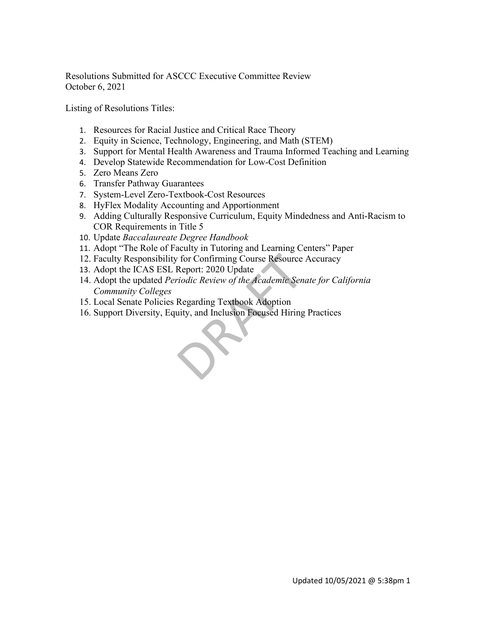Resolutions Submitted for ASCCC Executive Committee Review October 6, 2021

Listing of Resolutions Titles:

- 1. Resources for Racial Justice and Critical Race Theory
- 2. Equity in Science, Technology, Engineering, and Math (STEM)
- 3. Support for Mental Health Awareness and Trauma Informed Teaching and Learning
- 4. Develop Statewide Recommendation for Low-Cost Definition
- 5. Zero Means Zero
- 6. Transfer Pathway Guarantees
- 7. System-Level Zero-Textbook-Cost Resources
- 8. HyFlex Modality Accounting and Apportionment
- 9. Adding Culturally Responsive Curriculum, Equity Mindedness and Anti-Racism to COR Requirements in Title 5
- 10. Update *Baccalaureate Degree Handbook*
- 11. Adopt "The Role of Faculty in Tutoring and Learning Centers" Paper
- 12. Faculty Responsibility for Confirming Course Resource Accuracy
- 13. Adopt the ICAS ESL Report: 2020 Update
- 14. Adopt the updated *Periodic Review of the Academic Senate for California Community Colleges*
- 15. Local Senate Policies Regarding Textbook Adoption
- 16. Support Diversity, Equity, and Inclusion Focused Hiring Practices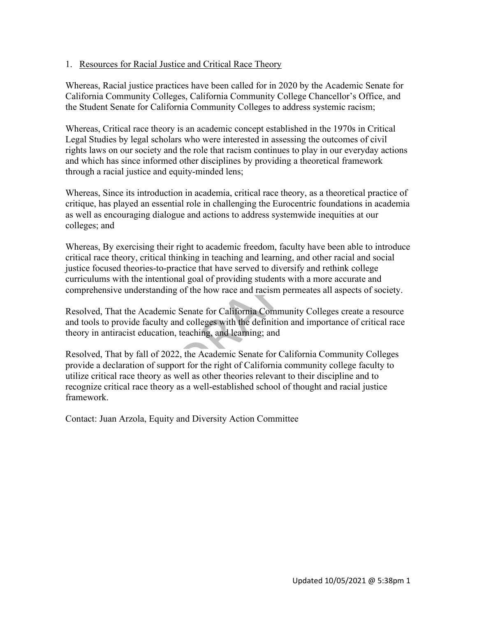### 1. Resources for Racial Justice and Critical Race Theory

Whereas, Racial justice practices have been called for in 2020 by the Academic Senate for California Community Colleges, California Community College Chancellor's Office, and the Student Senate for California Community Colleges to address systemic racism;

Whereas, Critical race theory is an academic concept established in the 1970s in Critical Legal Studies by legal scholars who were interested in assessing the outcomes of civil rights laws on our society and the role that racism continues to play in our everyday actions and which has since informed other disciplines by providing a theoretical framework through a racial justice and equity-minded lens;

Whereas, Since its introduction in academia, critical race theory, as a theoretical practice of critique, has played an essential role in challenging the Eurocentric foundations in academia as well as encouraging dialogue and actions to address systemwide inequities at our colleges; and

Whereas, By exercising their right to academic freedom, faculty have been able to introduce critical race theory, critical thinking in teaching and learning, and other racial and social justice focused theories-to-practice that have served to diversify and rethink college curriculums with the intentional goal of providing students with a more accurate and comprehensive understanding of the how race and racism permeates all aspects of society.

Resolved, That the Academic Senate for California Community Colleges create a resource and tools to provide faculty and colleges with the definition and importance of critical race theory in antiracist education, teaching, and learning; and

Resolved, That by fall of 2022, the Academic Senate for California Community Colleges provide a declaration of support for the right of California community college faculty to utilize critical race theory as well as other theories relevant to their discipline and to recognize critical race theory as a well-established school of thought and racial justice framework.

Contact: Juan Arzola, Equity and Diversity Action Committee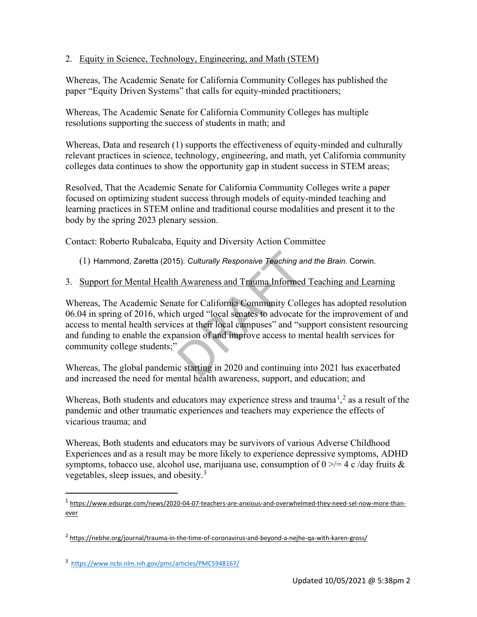## 2. Equity in Science, Technology, Engineering, and Math (STEM)

Whereas, The Academic Senate for California Community Colleges has published the paper "Equity Driven Systems" that calls for equity-minded practitioners;

Whereas, The Academic Senate for California Community Colleges has multiple resolutions supporting the success of students in math; and

Whereas, Data and research (1) supports the effectiveness of equity-minded and culturally relevant practices in science, technology, engineering, and math, yet California community colleges data continues to show the opportunity gap in student success in STEM areas;

Resolved, That the Academic Senate for California Community Colleges write a paper focused on optimizing student success through models of equity-minded teaching and learning practices in STEM online and traditional course modalities and present it to the body by the spring 2023 plenary session.

Contact: Roberto Rubalcaba, Equity and Diversity Action Committee

(1) Hammond, Zaretta (2015). *Culturally Responsive Teaching and the Brain.* Corwin.

3. Support for Mental Health Awareness and Trauma Informed Teaching and Learning

Whereas, The Academic Senate for California Community Colleges has adopted resolution 06.04 in spring of 2016, which urged "local senates to advocate for the improvement of and access to mental health services at their local campuses" and "support consistent resourcing and funding to enable the expansion of and improve access to mental health services for community college students;"

Whereas, The global pandemic starting in 2020 and continuing into 2021 has exacerbated and increased the need for mental health awareness, support, and education; and

Whereas, Both students and educators may experience stress and trauma<sup>[1](#page-2-0)</sup>,<sup>[2](#page-2-1)</sup> as a result of the pandemic and other traumatic experiences and teachers may experience the effects of vicarious trauma; and

Whereas, Both students and educators may be survivors of various Adverse Childhood Experiences and as a result may be more likely to experience depressive symptoms, ADHD symptoms, tobacco use, alcohol use, marijuana use, consumption of  $0 \ge 4$  c/day fruits & vegetables, sleep issues, and obesity.[3](#page-2-2)

<span id="page-2-0"></span><sup>1</sup> [https://www.edsurge.com/news/2020-04-07-teachers-are-anxious-and-overwhelmed-they-need-sel-now-more-than](https://www.edsurge.com/news/2020-04-07-teachers-are-anxious-and-overwhelmed-they-need-sel-now-more-than-ever)[ever](https://www.edsurge.com/news/2020-04-07-teachers-are-anxious-and-overwhelmed-they-need-sel-now-more-than-ever)

<span id="page-2-1"></span><sup>2</sup> <https://nebhe.org/journal/trauma-in-the-time-of-coronavirus-and-beyond-a-nejhe-qa-with-karen-gross/>

<span id="page-2-2"></span><sup>3</sup> <https://www.ncbi.nlm.nih.gov/pmc/articles/PMC5948167/>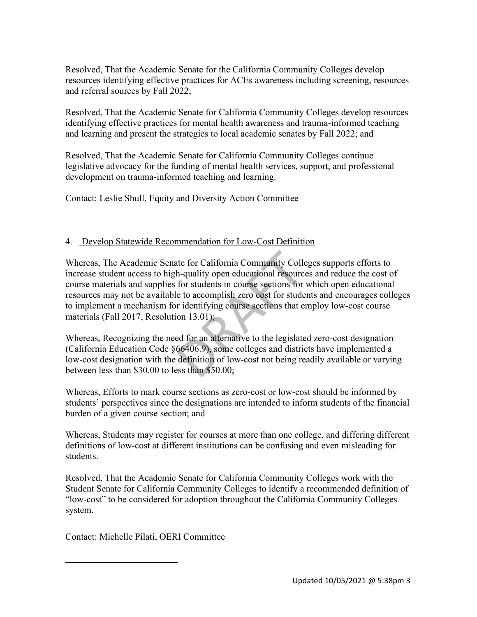Resolved, That the Academic Senate for the California Community Colleges develop resources identifying effective practices for ACEs awareness including screening, resources and referral sources by Fall 2022;

Resolved, That the Academic Senate for California Community Colleges develop resources identifying effective practices for mental health awareness and trauma-informed teaching and learning and present the strategies to local academic senates by Fall 2022; and

Resolved, That the Academic Senate for California Community Colleges continue legislative advocacy for the funding of mental health services, support, and professional development on trauma-informed teaching and learning.

Contact: Leslie Shull, Equity and Diversity Action Committee

# 4. Develop Statewide Recommendation for Low-Cost Definition

Whereas, The Academic Senate for California Community Colleges supports efforts to increase student access to high-quality open educational resources and reduce the cost of course materials and supplies for students in course sections for which open educational resources may not be available to accomplish zero cost for students and encourages colleges to implement a mechanism for identifying course sections that employ low-cost course materials (Fall 2017, Resolution 13.01);

Whereas, Recognizing the need for an alternative to the legislated zero-cost designation (California Education Code §66406.9), some colleges and districts have implemented a low-cost designation with the definition of low-cost not being readily available or varying between less than \$30.00 to less than \$50.00;

Whereas, Efforts to mark course sections as zero-cost or low-cost should be informed by students' perspectives since the designations are intended to inform students of the financial burden of a given course section; and

Whereas, Students may register for courses at more than one college, and differing different definitions of low-cost at different institutions can be confusing and even misleading for students.

Resolved, That the Academic Senate for California Community Colleges work with the Student Senate for California Community Colleges to identify a recommended definition of "low-cost" to be considered for adoption throughout the California Community Colleges system.

Contact: Michelle Pilati, OERI Committee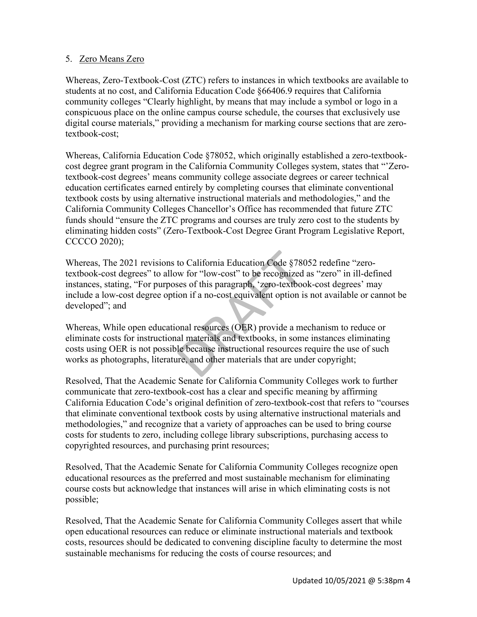### 5. Zero Means Zero

Whereas, Zero-Textbook-Cost (ZTC) refers to instances in which textbooks are available to students at no cost, and California Education Code §66406.9 requires that California community colleges "Clearly highlight, by means that may include a symbol or logo in a conspicuous place on the online campus course schedule, the courses that exclusively use digital course materials," providing a mechanism for marking course sections that are zerotextbook-cost;

Whereas, California Education Code §78052, which originally established a zero-textbookcost degree grant program in the California Community Colleges system, states that "'Zerotextbook-cost degrees' means community college associate degrees or career technical education certificates earned entirely by completing courses that eliminate conventional textbook costs by using alternative instructional materials and methodologies," and the California Community Colleges Chancellor's Office has recommended that future ZTC funds should "ensure the ZTC programs and courses are truly zero cost to the students by eliminating hidden costs" (Zero-Textbook-Cost Degree Grant Program Legislative Report, CCCCO 2020);

Whereas, The 2021 revisions to California Education Code §78052 redefine "zerotextbook-cost degrees" to allow for "low-cost" to be recognized as "zero" in ill-defined instances, stating, "For purposes of this paragraph, 'zero-textbook-cost degrees' may include a low-cost degree option if a no-cost equivalent option is not available or cannot be developed"; and

Whereas, While open educational resources (OER) provide a mechanism to reduce or eliminate costs for instructional materials and textbooks, in some instances eliminating costs using OER is not possible because instructional resources require the use of such works as photographs, literature, and other materials that are under copyright;

Resolved, That the Academic Senate for California Community Colleges work to further communicate that zero-textbook-cost has a clear and specific meaning by affirming California Education Code's original definition of zero-textbook-cost that refers to "courses that eliminate conventional textbook costs by using alternative instructional materials and methodologies," and recognize that a variety of approaches can be used to bring course costs for students to zero, including college library subscriptions, purchasing access to copyrighted resources, and purchasing print resources;

Resolved, That the Academic Senate for California Community Colleges recognize open educational resources as the preferred and most sustainable mechanism for eliminating course costs but acknowledge that instances will arise in which eliminating costs is not possible;

Resolved, That the Academic Senate for California Community Colleges assert that while open educational resources can reduce or eliminate instructional materials and textbook costs, resources should be dedicated to convening discipline faculty to determine the most sustainable mechanisms for reducing the costs of course resources; and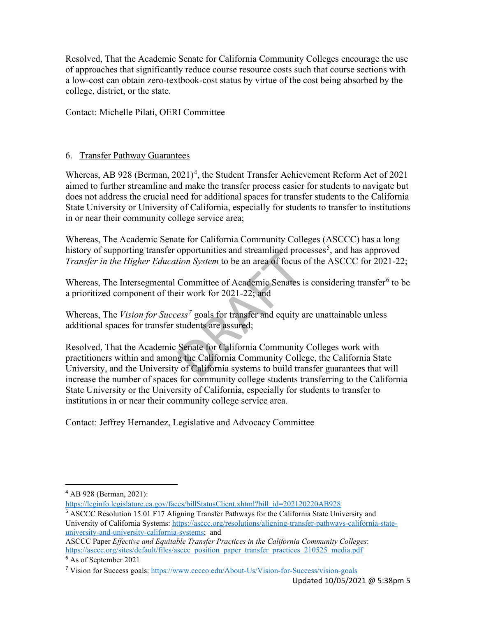Resolved, That the Academic Senate for California Community Colleges encourage the use of approaches that significantly reduce course resource costs such that course sections with a low-cost can obtain zero-textbook-cost status by virtue of the cost being absorbed by the college, district, or the state.

Contact: Michelle Pilati, OERI Committee

#### 6. Transfer Pathway Guarantees

Whereas, AB 928 (Berman,  $2021)^4$  $2021)^4$ , the Student Transfer Achievement Reform Act of 2021 aimed to further streamline and make the transfer process easier for students to navigate but does not address the crucial need for additional spaces for transfer students to the California State University or University of California, especially for students to transfer to institutions in or near their community college service area;

Whereas, The Academic Senate for California Community Colleges (ASCCC) has a long history of supporting transfer opportunities and streamlined processes<sup>[5](#page-5-1)</sup>, and has approved *Transfer in the Higher Education System* to be an area of focus of the ASCCC for 2021-22;

Whereas, The Intersegmental Committee of Academic Senates is considering transfer<sup>[6](#page-5-2)</sup> to be a prioritized component of their work for 2021-22; and

Whereas, The *Vision for Success[7](#page-5-3)* goals for transfer and equity are unattainable unless additional spaces for transfer students are assured;

Resolved, That the Academic Senate for California Community Colleges work with practitioners within and among the California Community College, the California State University, and the University of California systems to build transfer guarantees that will increase the number of spaces for community college students transferring to the California State University or the University of California, especially for students to transfer to institutions in or near their community college service area.

Contact: Jeffrey Hernandez, Legislative and Advocacy Committee

<span id="page-5-0"></span><sup>4</sup> AB 928 (Berman, 2021):

[https://leginfo.legislature.ca.gov/faces/billStatusClient.xhtml?bill\\_id=202120220AB928](https://leginfo.legislature.ca.gov/faces/billStatusClient.xhtml?bill_id=202120220AB928)

<span id="page-5-1"></span><sup>&</sup>lt;sup>5</sup> ASCCC Resolution 15.01 F17 Aligning Transfer Pathways for the California State University and University of California Systems: [https://asccc.org/resolutions/aligning-transfer-pathways-california-state](https://asccc.org/resolutions/aligning-transfer-pathways-california-state-university-and-university-california-systems)[university-and-university-california-systems;](https://asccc.org/resolutions/aligning-transfer-pathways-california-state-university-and-university-california-systems) and

ASCCC Paper *Effective and Equitable Transfer Practices in the California Community Colleges*: [https://asccc.org/sites/default/files/asccc\\_position\\_paper\\_transfer\\_practices\\_210525\\_media.pdf](https://asccc.org/sites/default/files/asccc_position_paper_transfer_practices_210525_media.pdf)

<span id="page-5-2"></span><sup>6</sup> As of September 2021

<span id="page-5-3"></span><sup>7</sup> Vision for Success goals:<https://www.cccco.edu/About-Us/Vision-for-Success/vision-goals>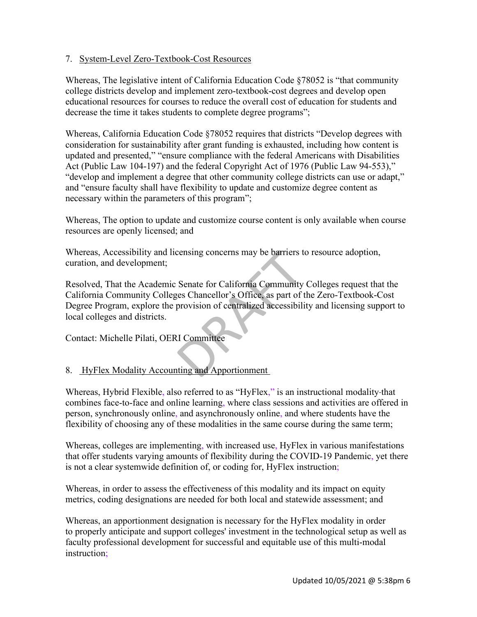### 7. System-Level Zero-Textbook-Cost Resources

Whereas, The legislative intent of California Education Code §78052 is "that community college districts develop and implement zero-textbook-cost degrees and develop open educational resources for courses to reduce the overall cost of education for students and decrease the time it takes students to complete degree programs";

Whereas, California Education Code §78052 requires that districts "Develop degrees with consideration for sustainability after grant funding is exhausted, including how content is updated and presented," "ensure compliance with the federal Americans with Disabilities Act (Public Law 104-197) and the federal Copyright Act of 1976 (Public Law 94-553)," "develop and implement a degree that other community college districts can use or adapt," and "ensure faculty shall have flexibility to update and customize degree content as necessary within the parameters of this program";

Whereas, The option to update and customize course content is only available when course resources are openly licensed; and

Whereas, Accessibility and licensing concerns may be barriers to resource adoption, curation, and development;

Resolved, That the Academic Senate for California Community Colleges request that the California Community Colleges Chancellor's Office, as part of the Zero-Textbook-Cost Degree Program, explore the provision of centralized accessibility and licensing support to local colleges and districts.

Contact: Michelle Pilati, OERI Committee

## 8. HyFlex Modality Accounting and Apportionment

Whereas, Hybrid Flexible, also referred to as "HyFlex," is an instructional modality that combines face-to-face and online learning, where class sessions and activities are offered in person, synchronously online, and asynchronously online, and where students have the flexibility of choosing any of these modalities in the same course during the same term;

Whereas, colleges are implementing, with increased use, HyFlex in various manifestations that offer students varying amounts of flexibility during the COVID-19 Pandemic, yet there is not a clear systemwide definition of, or coding for, HyFlex instruction;

Whereas, in order to assess the effectiveness of this modality and its impact on equity metrics, coding designations are needed for both local and statewide assessment; and

Whereas, an apportionment designation is necessary for the HyFlex modality in order to properly anticipate and support colleges' investment in the technological setup as well as faculty professional development for successful and equitable use of this multi-modal instruction;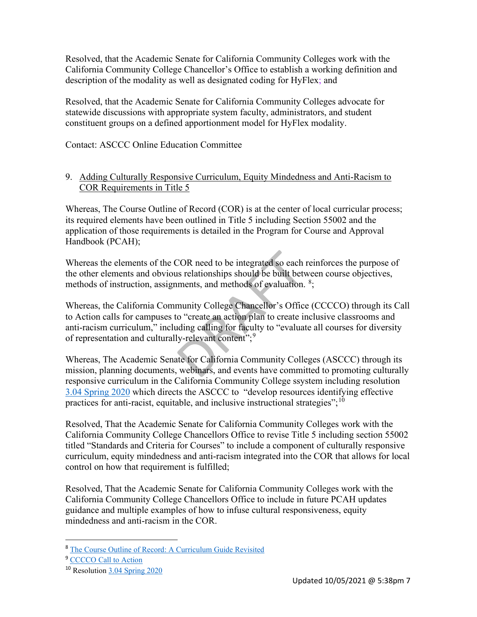Resolved, that the Academic Senate for California Community Colleges work with the California Community College Chancellor's Office to establish a working definition and description of the modality as well as designated coding for HyFlex; and

Resolved, that the Academic Senate for California Community Colleges advocate for statewide discussions with appropriate system faculty, administrators, and student constituent groups on a defined apportionment model for HyFlex modality.

Contact: ASCCC Online Education Committee

### 9. Adding Culturally Responsive Curriculum, Equity Mindedness and Anti-Racism to COR Requirements in Title 5

Whereas, The Course Outline of Record (COR) is at the center of local curricular process; its required elements have been outlined in Title 5 including Section 55002 and the application of those requirements is detailed in the Program for Course and Approval Handbook (PCAH);

Whereas the elements of the COR need to be integrated so each reinforces the purpose of the other elements and obvious relationships should be built between course objectives, methods of instruction, assignments, and methods of evaluation. <sup>[8](#page-7-0)</sup>;

Whereas, the California Community College Chancellor's Office (CCCCO) through its Call to Action calls for campuses to "create an action plan to create inclusive classrooms and anti-racism curriculum," including calling for faculty to "evaluate all courses for diversity of representation and culturally-relevant content";<sup>[9](#page-7-1)</sup>

Whereas, The Academic Senate for California Community Colleges (ASCCC) through its mission, planning documents, webinars, and events have committed to promoting culturally responsive curriculum in the California Community College ssystem including resolution [3.04 Spring 2020](https://www.asccc.org/resolutions/develop-resources-effective-practices-anti-racist-equitable-and-inclusive-instructional) which directs the ASCCC to "develop resources identifying effective practices for anti-racist, equitable, and inclusive instructional strategies"; $^{10}$ 

Resolved, That the Academic Senate for California Community Colleges work with the California Community College Chancellors Office to revise Title 5 including section 55002 titled "Standards and Criteria for Courses" to include a component of culturally responsive curriculum, equity mindedness and anti-racism integrated into the COR that allows for local control on how that requirement is fulfilled;

Resolved, That the Academic Senate for California Community Colleges work with the California Community College Chancellors Office to include in future PCAH updates guidance and multiple examples of how to infuse cultural responsiveness, equity mindedness and anti-racism in the COR.

<span id="page-7-0"></span><sup>8</sup> [The Course Outline of Record: A Curriculum Guide Revisited](https://www.asccc.org/sites/default/files/COR_0.pdf)

<span id="page-7-1"></span><sup>&</sup>lt;sup>9</sup> [CCCCO Call to Action](https://www.cccco.edu/-/media/CCCCO-Website/Files/Communications/dear-california-community-colleges-family)

<span id="page-7-2"></span><sup>10</sup> Resolution [3.04 Spring 2020](https://www.asccc.org/resolutions/develop-resources-effective-practices-anti-racist-equitable-and-inclusive-instructional)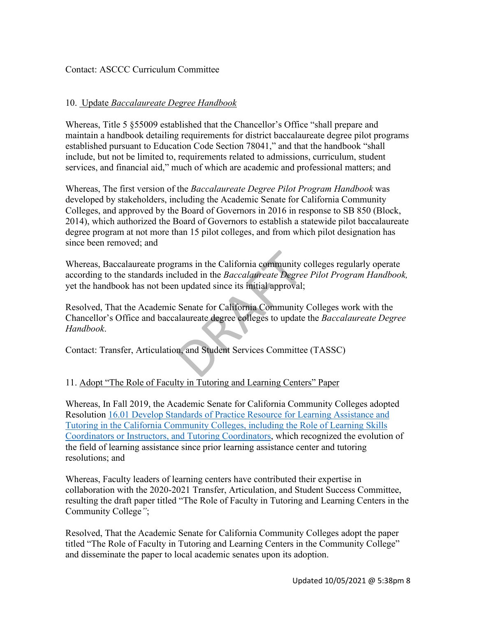#### Contact: ASCCC Curriculum Committee

### 10. Update *Baccalaureate Degree Handbook*

Whereas, Title 5 §55009 established that the Chancellor's Office "shall prepare and maintain a handbook detailing requirements for district baccalaureate degree pilot programs established pursuant to Education Code Section 78041," and that the handbook "shall include, but not be limited to, requirements related to admissions, curriculum, student services, and financial aid," much of which are academic and professional matters; and

Whereas, The first version of the *Baccalaureate Degree Pilot Program Handbook* was developed by stakeholders, including the Academic Senate for California Community Colleges, and approved by the Board of Governors in 2016 in response to SB 850 (Block, 2014), which authorized the Board of Governors to establish a statewide pilot baccalaureate degree program at not more than 15 pilot colleges, and from which pilot designation has since been removed; and

Whereas, Baccalaureate programs in the California community colleges regularly operate according to the standards included in the *Baccalaureate Degree Pilot Program Handbook,*  yet the handbook has not been updated since its initial approval;

Resolved, That the Academic Senate for California Community Colleges work with the Chancellor's Office and baccalaureate degree colleges to update the *Baccalaureate Degree Handbook*.

Contact: Transfer, Articulation, and Student Services Committee (TASSC)

## 11. Adopt "The Role of Faculty in Tutoring and Learning Centers" Paper

Whereas, In Fall 2019, the Academic Senate for California Community Colleges adopted Resolution [16.01 Develop Standards of Practice Resource for Learning Assistance and](https://asccc.org/resolutions/develop-standards-practice-resource-learning-assistance-and-tutoring-california)  [Tutoring in the California Community Colleges, including the Role of Learning Skills](https://asccc.org/resolutions/develop-standards-practice-resource-learning-assistance-and-tutoring-california)  [Coordinators or Instructors, and Tutoring Coordinators,](https://asccc.org/resolutions/develop-standards-practice-resource-learning-assistance-and-tutoring-california) which recognized the evolution of the field of learning assistance since prior learning assistance center and tutoring resolutions; and

Whereas, Faculty leaders of learning centers have contributed their expertise in collaboration with the 2020-2021 Transfer, Articulation, and Student Success Committee, resulting the draft paper titled "The Role of Faculty in Tutoring and Learning Centers in the Community College*"*;

Resolved, That the Academic Senate for California Community Colleges adopt the paper titled "The Role of Faculty in Tutoring and Learning Centers in the Community College" and disseminate the paper to local academic senates upon its adoption.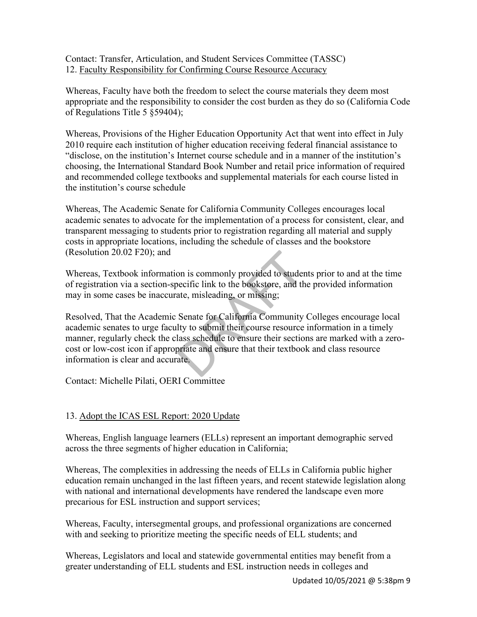Contact: Transfer, Articulation, and Student Services Committee (TASSC) 12. Faculty Responsibility for Confirming Course Resource Accuracy

Whereas, Faculty have both the freedom to select the course materials they deem most appropriate and the responsibility to consider the cost burden as they do so (California Code of Regulations Title 5 §59404);

Whereas, Provisions of the Higher Education Opportunity Act that went into effect in July 2010 require each institution of higher education receiving federal financial assistance to "disclose, on the institution's Internet course schedule and in a manner of the institution's choosing, the International Standard Book Number and retail price information of required and recommended college textbooks and supplemental materials for each course listed in the institution's course schedule

Whereas, The Academic Senate for California Community Colleges encourages local academic senates to advocate for the implementation of a process for consistent, clear, and transparent messaging to students prior to registration regarding all material and supply costs in appropriate locations, including the schedule of classes and the bookstore (Resolution 20.02 F20); and

Whereas, Textbook information is commonly provided to students prior to and at the time of registration via a section-specific link to the bookstore, and the provided information may in some cases be inaccurate, misleading, or missing;

Resolved, That the Academic Senate for California Community Colleges encourage local academic senates to urge faculty to submit their course resource information in a timely manner, regularly check the class schedule to ensure their sections are marked with a zerocost or low-cost icon if appropriate and ensure that their textbook and class resource information is clear and accurate.

Contact: Michelle Pilati, OERI Committee

## 13. Adopt the ICAS ESL Report: 2020 Update

Whereas, English language learners (ELLs) represent an important demographic served across the three segments of higher education in California;

Whereas, The complexities in addressing the needs of ELLs in California public higher education remain unchanged in the last fifteen years, and recent statewide legislation along with national and international developments have rendered the landscape even more precarious for ESL instruction and support services;

Whereas, Faculty, intersegmental groups, and professional organizations are concerned with and seeking to prioritize meeting the specific needs of ELL students; and

Whereas, Legislators and local and statewide governmental entities may benefit from a greater understanding of ELL students and ESL instruction needs in colleges and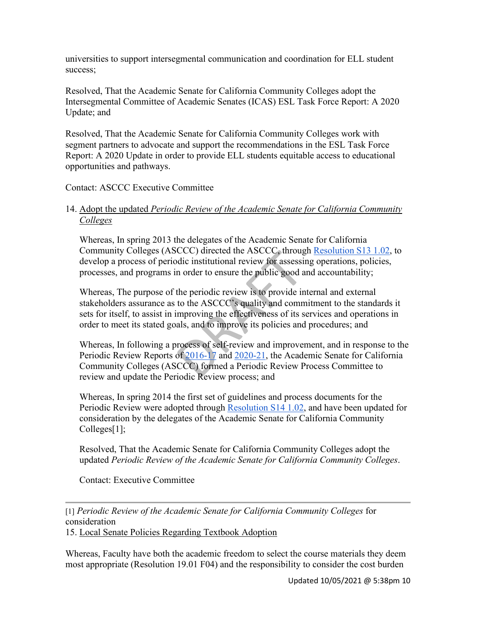universities to support intersegmental communication and coordination for ELL student success;

Resolved, That the Academic Senate for California Community Colleges adopt the Intersegmental Committee of Academic Senates (ICAS) ESL Task Force Report: A 2020 Update; and

Resolved, That the Academic Senate for California Community Colleges work with segment partners to advocate and support the recommendations in the ESL Task Force Report: A 2020 Update in order to provide ELL students equitable access to educational opportunities and pathways.

### Contact: ASCCC Executive Committee

## 14. Adopt the updated *Periodic Review of the Academic Senate for California Community Colleges*

Whereas, In spring 2013 the delegates of the Academic Senate for California Community Colleges (ASCCC) directed the ASCCC, throug[h](https://asccc.org/resolutions/periodic-evaluation-academic-senate-california-community-colleges) [Resolution S13 1.02,](https://asccc.org/resolutions/periodic-evaluation-academic-senate-california-community-colleges) to develop a process of periodic institutional review for assessing operations, policies, processes, and programs in order to ensure the public good and accountability;

Whereas, The purpose of the periodic review is to provide internal and external stakeholders assurance as to the ASCCC's quality and commitment to the standards it sets for itself, to assist in improving the effectiveness of its services and operations in order to meet its stated goals, and to improve its policies and procedures; and

Whereas, In following a process of self-review and improvement, and in response to the Periodic Review Reports of [2016-17](https://asccc.org/sites/default/files/Final%20Version_Periodic%20Review%20Document_April%202017_0.pdf) and [2020-21,](https://asccc.org/sites/default/files/2020-21%20PRC%20Final%20Report-%20Rev%201.pdf) the Academic Senate for California Community Colleges (ASCCC) formed a Periodic Review Process Committee to review and update the Periodic Review process; and

Whereas, In spring 2014 the first set of guidelines and process documents for the Periodic Review were adopted through [Resolution S14 1.02,](https://asccc.org/resolutions/adopt-documents-guidelines-periodic-review-academic-senate-california-community-colleges) and have been updated for consideration by the delegates of the Academic Senate for California Community Colleges[1];

Resolved, That the Academic Senate for California Community Colleges adopt the updated *Periodic Review of the Academic Senate for California Community Colleges*.

Contact: Executive Committee

[1] *Periodic Review of the Academic Senate for California Community Colleges* for consideration 15. Local Senate Policies Regarding Textbook Adoption

Whereas, Faculty have both the academic freedom to select the course materials they deem most appropriate (Resolution 19.01 F04) and the responsibility to consider the cost burden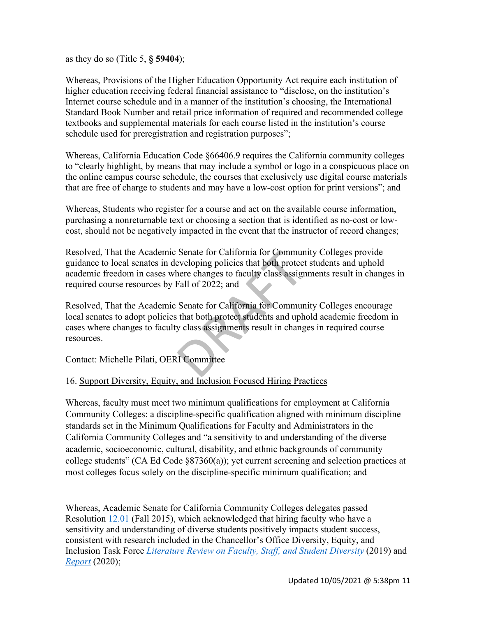as they do so (Title 5, **§ 59404**);

Whereas, Provisions of the Higher Education Opportunity Act require each institution of higher education receiving federal financial assistance to "disclose, on the institution's Internet course schedule and in a manner of the institution's choosing, the International Standard Book Number and retail price information of required and recommended college textbooks and supplemental materials for each course listed in the institution's course schedule used for preregistration and registration purposes";

Whereas, California Education Code §66406.9 requires the California community colleges to "clearly highlight, by means that may include a symbol or logo in a conspicuous place on the online campus course schedule, the courses that exclusively use digital course materials that are free of charge to students and may have a low-cost option for print versions"; and

Whereas, Students who register for a course and act on the available course information, purchasing a nonreturnable text or choosing a section that is identified as no-cost or lowcost, should not be negatively impacted in the event that the instructor of record changes;

Resolved, That the Academic Senate for California for Community Colleges provide guidance to local senates in developing policies that both protect students and uphold academic freedom in cases where changes to faculty class assignments result in changes in required course resources by Fall of 2022; and

Resolved, That the Academic Senate for California for Community Colleges encourage local senates to adopt policies that both protect students and uphold academic freedom in cases where changes to faculty class assignments result in changes in required course resources.

Contact: Michelle Pilati, OERI Committee

## 16. Support Diversity, Equity, and Inclusion Focused Hiring Practices

Whereas, faculty must meet two minimum qualifications for employment at California Community Colleges: a discipline-specific qualification aligned with minimum discipline standards set in the Minimum Qualifications for Faculty and Administrators in the California Community Colleges and "a sensitivity to and understanding of the diverse academic, socioeconomic, cultural, disability, and ethnic backgrounds of community college students" (CA Ed Code §87360(a)); yet current screening and selection practices at most colleges focus solely on the discipline-specific minimum qualification; and

Whereas, Academic Senate for California Community Colleges delegates passed Resolution [12.01](https://asccc.org/resolutions/hiring-culturally-aware-faculty) (Fall 2015), which acknowledged that hiring faculty who have a sensitivity and understanding of diverse students positively impacts student success, consistent with research included in the Chancellor's Office Diversity, Equity, and Inclusion Task Force *[Literature Review on Faculty, Staff, and Student Diversity](https://www.cccco.edu/-/media/CCCCO-Website/Files/Communications/vision-for-success/2-literature-review-on-faculty-staff-and-student-diversity.pdf?la=en&hash=73767B97C2DE63FCE1518BB4B39B6278C5500ACF)* (2019) and *[Report](https://www.cccco.edu/-/media/CCCCO-Website/Files/Communications/vision-for-success/cccco-dei-report.pdf?la=en&hash=FAB1854B05779EA47FBA10D1E5DED7A290D5C9E1)* (2020);